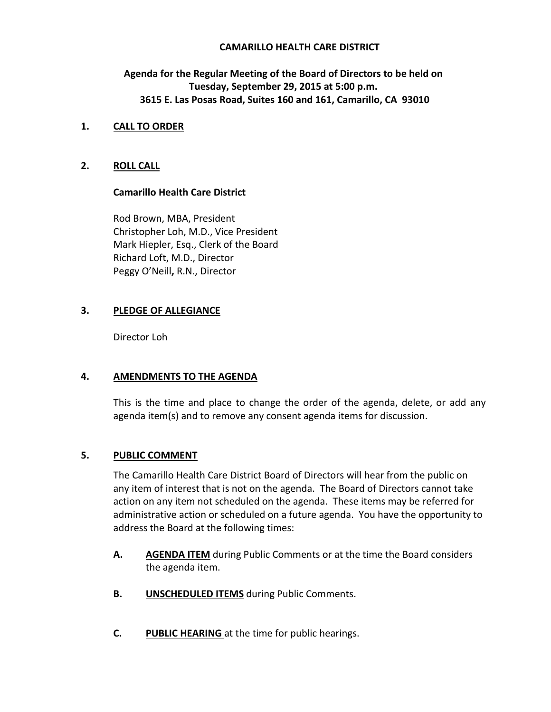# **CAMARILLO HEALTH CARE DISTRICT**

**Agenda for the Regular Meeting of the Board of Directors to be held on Tuesday, September 29, 2015 at 5:00 p.m. 3615 E. Las Posas Road, Suites 160 and 161, Camarillo, CA 93010**

## **1. CALL TO ORDER**

# **2. ROLL CALL**

# **Camarillo Health Care District**

Rod Brown, MBA, President Christopher Loh, M.D., Vice President Mark Hiepler, Esq., Clerk of the Board Richard Loft, M.D., Director Peggy O'Neill**,** R.N., Director

# **3. PLEDGE OF ALLEGIANCE**

Director Loh

#### **4. AMENDMENTS TO THE AGENDA**

This is the time and place to change the order of the agenda, delete, or add any agenda item(s) and to remove any consent agenda items for discussion.

## **5. PUBLIC COMMENT**

The Camarillo Health Care District Board of Directors will hear from the public on any item of interest that is not on the agenda. The Board of Directors cannot take action on any item not scheduled on the agenda. These items may be referred for administrative action or scheduled on a future agenda. You have the opportunity to address the Board at the following times:

- **A. AGENDA ITEM** during Public Comments or at the time the Board considers the agenda item.
- **B. UNSCHEDULED ITEMS** during Public Comments.
- **C. PUBLIC HEARING** at the time for public hearings.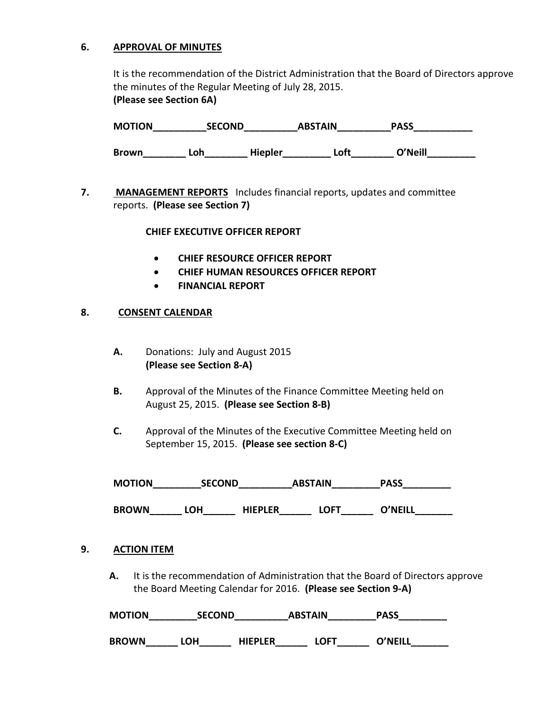## **6. APPROVAL OF MINUTES**

It is the recommendation of the District Administration that the Board of Directors approve the minutes of the Regular Meeting of July 28, 2015. **(Please see Section 6A)**

**MOTION\_\_\_\_\_\_\_\_\_\_SECOND\_\_\_\_\_\_\_\_\_\_ABSTAIN\_\_\_\_\_\_\_\_\_\_PASS\_\_\_\_\_\_\_\_\_\_\_ Brown\_\_\_\_\_\_\_\_ Loh\_\_\_\_\_\_\_\_ Hiepler\_\_\_\_\_\_\_\_\_ Loft\_\_\_\_\_\_\_\_ O'Neill\_\_\_\_\_\_\_\_\_**

**7. MANAGEMENT REPORTS** Includes financial reports, updates and committee reports. **(Please see Section 7)**

#### **CHIEF EXECUTIVE OFFICER REPORT**

- **CHIEF RESOURCE OFFICER REPORT**
- **CHIEF HUMAN RESOURCES OFFICER REPORT**
- **FINANCIAL REPORT**

#### **8. CONSENT CALENDAR**

- **A.** Donations: July and August 2015  **(Please see Section 8-A)**
- **B.** Approval of the Minutes of the Finance Committee Meeting held on August 25, 2015. **(Please see Section 8-B)**
- **C.** Approval of the Minutes of the Executive Committee Meeting held on September 15, 2015. **(Please see section 8-C)**

| <b>MOTION</b> | <b>SECOND</b> | <b>ABSTAIN</b> | <b>PASS</b> |  |
|---------------|---------------|----------------|-------------|--|
|---------------|---------------|----------------|-------------|--|

BROWN\_\_\_\_\_\_\_ LOH\_\_\_\_\_\_\_ HIEPLER\_\_\_\_\_\_\_ LOFT\_\_\_\_\_\_\_ O'NEILL\_\_\_\_\_\_\_\_\_\_\_\_\_\_\_\_\_\_\_\_\_\_\_

#### **9. ACTION ITEM**

**A.** It is the recommendation of Administration that the Board of Directors approve the Board Meeting Calendar for 2016. **(Please see Section 9-A)** 

**MOTION\_\_\_\_\_\_\_\_\_SECOND\_\_\_\_\_\_\_\_\_\_ABSTAIN\_\_\_\_\_\_\_\_\_PASS\_\_\_\_\_\_\_\_\_**

**BROWN\_\_\_\_\_\_ LOH\_\_\_\_\_\_ HIEPLER\_\_\_\_\_\_ LOFT\_\_\_\_\_\_ O'NEILL\_\_\_\_\_\_\_**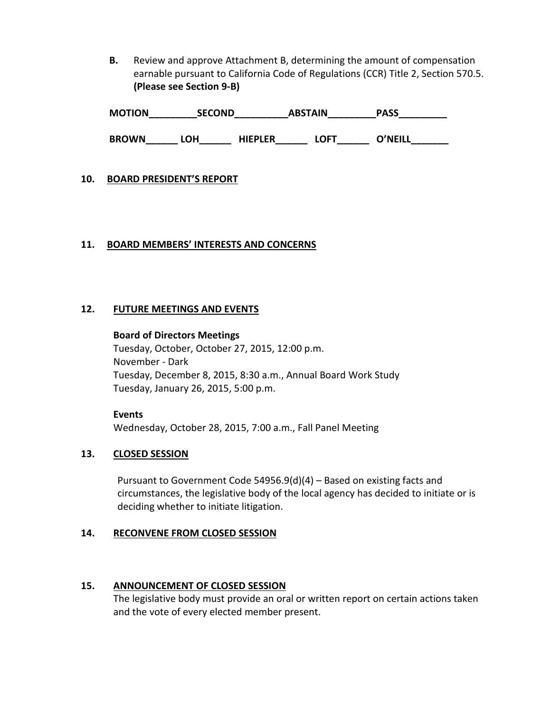**B.** Review and approve Attachment B, determining the amount of compensation earnable pursuant to California Code of Regulations (CCR) Title 2, Section 570.5. **(Please see Section 9-B)** 

| <b>MOTION</b> | <b>SECOND</b> | <b>ABSTAIN</b> | <b>PASS</b> |  |
|---------------|---------------|----------------|-------------|--|
|---------------|---------------|----------------|-------------|--|

BROWN\_\_\_\_\_\_\_ LOH\_\_\_\_\_\_\_\_ HIEPLER\_\_\_\_\_\_\_\_ LOFT\_\_\_\_\_\_\_O'NEILL\_\_\_\_\_\_\_\_\_\_\_\_\_\_\_\_\_\_\_\_\_

# **10. BOARD PRESIDENT'S REPORT**

# **11. BOARD MEMBERS' INTERESTS AND CONCERNS**

# **12. FUTURE MEETINGS AND EVENTS**

#### **Board of Directors Meetings**

Tuesday, October, October 27, 2015, 12:00 p.m. November - Dark Tuesday, December 8, 2015, 8:30 a.m., Annual Board Work Study Tuesday, January 26, 2015, 5:00 p.m.

**Events** Wednesday, October 28, 2015, 7:00 a.m., Fall Panel Meeting

#### **13. CLOSED SESSION**

Pursuant to Government Code 54956.9(d)(4) – Based on existing facts and circumstances, the legislative body of the local agency has decided to initiate or is deciding whether to initiate litigation.

#### **14. RECONVENE FROM CLOSED SESSION**

# **15. ANNOUNCEMENT OF CLOSED SESSION**

The legislative body must provide an oral or written report on certain actions taken and the vote of every elected member present.